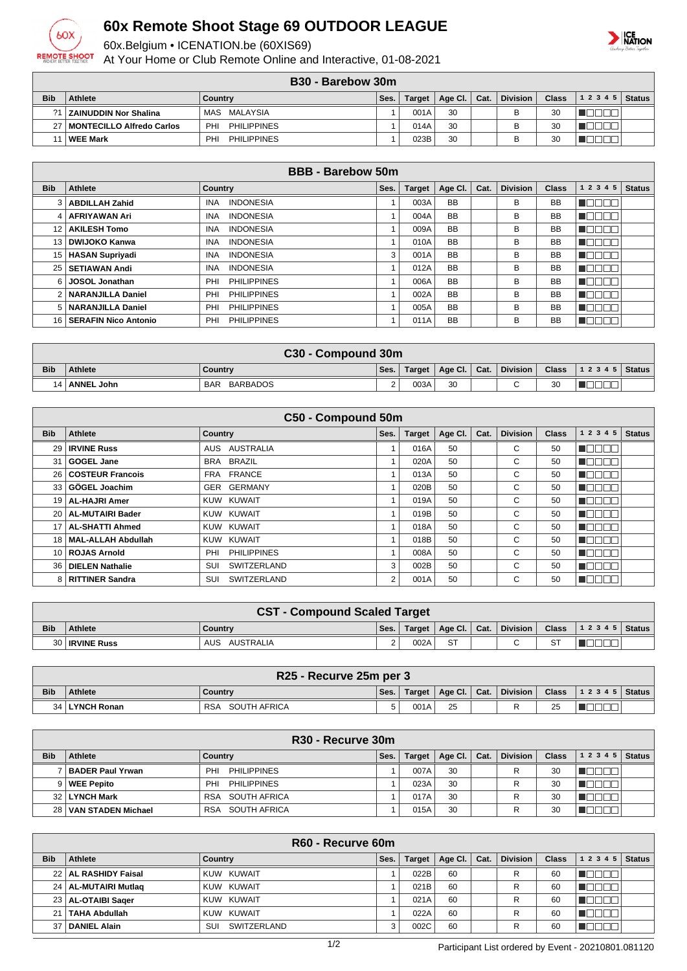

## **60x Remote Shoot Stage 69 OUTDOOR LEAGUE**

60x.Belgium • ICENATION.be (60XIS69)

At Your Home or Club Remote Online and Interactive, 01-08-2021

## **ICE**<br>NATION

|  | B <sub>30</sub> - Barebow 30m |  |
|--|-------------------------------|--|
|--|-------------------------------|--|

|            | <br><b>PUIVDUT JUIL</b>        |                                       |      |               |                |  |                 |              |                  |  |
|------------|--------------------------------|---------------------------------------|------|---------------|----------------|--|-----------------|--------------|------------------|--|
| <b>Bib</b> | <b>Athlete</b>                 | Country                               | Ses. | <b>Target</b> | Age Cl.   Cat. |  | <b>Division</b> | <b>Class</b> | $ 12345 $ Status |  |
|            | ?1   ZAINUDDIN Nor Shalina     | MAS MALAYSIA                          |      | 001A          | 30             |  | B               | 30           |                  |  |
|            | 27   MONTECILLO Alfredo Carlos | <b>PHILIPPINES</b><br>PHI             |      | 014A          | 30             |  | В               | 30           |                  |  |
|            | <b>WEE Mark</b>                | <b>PHILIPPINES</b><br>PH <sub>1</sub> |      | 023B          | 30             |  | B               | 30           |                  |  |

| <b>BBB - Barebow 50m</b> |                           |                                |      |               |           |      |                 |              |           |               |
|--------------------------|---------------------------|--------------------------------|------|---------------|-----------|------|-----------------|--------------|-----------|---------------|
| <b>Bib</b>               | <b>Athlete</b>            | Country                        | Ses. | <b>Target</b> | Age CI.   | Cat. | <b>Division</b> | <b>Class</b> | 1234<br>5 | <b>Status</b> |
|                          | <b>ABDILLAH Zahid</b>     | <b>INDONESIA</b><br><b>INA</b> |      | 003A          | <b>BB</b> |      | в               | <b>BB</b>    |           |               |
|                          | <b>AFRIYAWAN Ari</b>      | <b>INDONESIA</b><br><b>INA</b> |      | 004A          | <b>BB</b> |      | в               | <b>BB</b>    |           |               |
| 12 <sup>2</sup>          | <b>AKILESH Tomo</b>       | <b>INDONESIA</b><br><b>INA</b> |      | 009A          | <b>BB</b> |      | в               | <b>BB</b>    |           |               |
| 13 <sup>1</sup>          | <b>DWIJOKO Kanwa</b>      | <b>INDONESIA</b><br><b>INA</b> |      | 010A          | <b>BB</b> |      | В               | <b>BB</b>    |           |               |
| 15 <sub>1</sub>          | <b>HASAN Supriyadi</b>    | <b>INA</b><br><b>INDONESIA</b> | 3    | 001A          | <b>BB</b> |      | в               | <b>BB</b>    |           |               |
| 25                       | SETIAWAN Andi             | <b>INDONESIA</b><br><b>INA</b> |      | 012A          | <b>BB</b> |      | в               | <b>BB</b>    |           |               |
| 6 I                      | <b>JOSOL Jonathan</b>     | <b>PHILIPPINES</b><br>PHI      |      | 006A          | <b>BB</b> |      | В               | <b>BB</b>    |           |               |
|                          | <b>NARANJILLA Daniel</b>  | <b>PHILIPPINES</b><br>PHI      |      | 002A          | <b>BB</b> |      | в               | <b>BB</b>    |           |               |
| 5 <sub>1</sub>           | NARANJILLA Daniel         | <b>PHILIPPINES</b><br>PHI      |      | 005A          | <b>BB</b> |      | В               | <b>BB</b>    |           |               |
|                          | 16   SERAFIN Nico Antonio | <b>PHILIPPINES</b><br>PHI      |      | 011A          | <b>BB</b> |      | в               | <b>BB</b>    |           |               |

|            | C30 - Compound 30m |                        |        |        |                                                    |  |            |       |                |  |
|------------|--------------------|------------------------|--------|--------|----------------------------------------------------|--|------------|-------|----------------|--|
| <b>Bib</b> | <b>Athlete</b>     | Country                | Ses.   | Target | $\parallel$ Age Cl. $\parallel$ Cat. $\parallel$ . |  | Division L | Class | $12345$ Status |  |
|            | <b>ANNEL John</b>  | BARBADOS<br><b>BAR</b> | $\sim$ | 003A   | 30                                                 |  | $\sim$     | 30    |                |  |

| C50 - Compound 50m |                        |                           |                |               |         |      |                 |              |           |               |
|--------------------|------------------------|---------------------------|----------------|---------------|---------|------|-----------------|--------------|-----------|---------------|
| <b>Bib</b>         | <b>Athlete</b>         | <b>Country</b>            | Ses.           | <b>Target</b> | Age Cl. | Cat. | <b>Division</b> | <b>Class</b> | 1 2 3 4 5 | <b>Status</b> |
| 29                 | <b>IRVINE Russ</b>     | <b>AUSTRALIA</b><br>AUS   |                | 016A          | 50      |      | С               | 50           | HH.       |               |
| 31                 | GOGEL Jane             | BRA BRAZIL                |                | 020A          | 50      |      | C               | 50           | - 11      |               |
|                    | 26   COSTEUR Francois  | FRA FRANCE                |                | 013A          | 50      |      | С               | 50           |           |               |
|                    | 33 GÖGEL Joachim       | GER GERMANY               |                | 020B          | 50      |      | C               | 50           | HH.       |               |
|                    | 19   AL-HAJRI Amer     | KUW KUWAIT                |                | 019A          | 50      |      | C               | 50           | TET       |               |
|                    | 20   AL-MUTAIRI Bader  | KUW KUWAIT                |                | 019B          | 50      |      | C               | 50           | - 11      |               |
| 17                 | <b>AL-SHATTI Ahmed</b> | KUW KUWAIT                |                | 018A          | 50      |      | С               | 50           | - 11      |               |
| 18                 | MAL-ALLAH Abdullah     | KUW KUWAIT                |                | 018B          | 50      |      | С               | 50           |           |               |
|                    | 10   ROJAS Arnold      | <b>PHILIPPINES</b><br>PHI |                | 008A          | 50      |      | C               | 50           |           |               |
| 36.                | <b>DIELEN Nathalie</b> | <b>SWITZERLAND</b><br>SUI | 3              | 002B          | 50      |      | C               | 50           |           |               |
|                    | 8   RITTINER Sandra    | SWITZERLAND<br>SUI        | $\overline{2}$ | 001A          | 50      |      | С               | 50           | N E E E E |               |

|            | <b>CST - Compound Scaled Target</b>                                                                                          |                  |        |      |           |  |        |  |  |  |
|------------|------------------------------------------------------------------------------------------------------------------------------|------------------|--------|------|-----------|--|--------|--|--|--|
| <b>Bib</b> | Division<br>Class $\vert$ 1 2 3 4 5 $\vert$ Status $\vert$<br>Target   Age Cl.   Cat.  <br><b>Athlete</b><br>Ses.<br>Country |                  |        |      |           |  |        |  |  |  |
|            | 30 <b>IRVINE Russ</b>                                                                                                        | AUSTRALIA<br>AUS | $\sim$ | 002A | <b>ST</b> |  | $\sim$ |  |  |  |

|            | R25 - Recurve 25m per 3                                                                                                     |                            |   |      |    |  |   |    |  |  |
|------------|-----------------------------------------------------------------------------------------------------------------------------|----------------------------|---|------|----|--|---|----|--|--|
| <b>Bib</b> | Division<br><b>Class</b><br>$ 12345 $ Status<br>$\mid$ Age Cl. $\mid$ Cat. $\mid$<br>Ses.<br>Athlete<br>Target  <br>Country |                            |   |      |    |  |   |    |  |  |
| 34 I       | ∣ LYNCH Ronan                                                                                                               | SOUTH AFRICA<br><b>RSA</b> | 5 | 001A | 25 |  | R | 25 |  |  |

|            | R <sub>30</sub> - Recurve 30m |                            |      |               |             |      |                 |              |           |               |
|------------|-------------------------------|----------------------------|------|---------------|-------------|------|-----------------|--------------|-----------|---------------|
| <b>Bib</b> | <b>Athlete</b>                | Country                    | Ses. | <b>Target</b> | Age Cl. $ $ | Cat. | <b>Division</b> | <b>Class</b> | 1 2 3 4 5 | <b>Status</b> |
|            | <b>BADER Paul Yrwan</b>       | PHILIPPINES<br>PHI         |      | 007A          | 30          |      |                 | 30           |           |               |
|            | 9   WEE Pepito                | PHILIPPINES<br>PHI         |      | 023A          | 30          |      |                 | 30           |           |               |
|            | 32 LYNCH Mark                 | SOUTH AFRICA<br><b>RSA</b> |      | 017A          | 30          |      |                 | 30           |           |               |
|            | 28 VAN STADEN Michael         | SOUTH AFRICA<br><b>RSA</b> |      | 015A          | 30          |      |                 | 30           |           |               |

|            | R60 - Recurve 60m      |                    |      |               |         |      |                 |              |              |               |
|------------|------------------------|--------------------|------|---------------|---------|------|-----------------|--------------|--------------|---------------|
| <b>Bib</b> | Athlete                | Country            | Ses. | <b>Target</b> | Age Cl. | Cat. | <b>Division</b> | <b>Class</b> | 1 2 3 4 5    | <b>Status</b> |
|            | 22   AL RASHIDY Faisal | KUW KUWAIT         |      | 022B          | 60      |      | R               | 60           |              |               |
|            | 24   AL-MUTAIRI Mutlag | KUW KUWAIT         |      | 021B          | 60      |      | R               | 60           | $\mathbf{L}$ |               |
|            | 23   AL-OTAIBI Sager   | KUW KUWAIT         |      | 021A          | 60      |      | R               | 60           |              |               |
| 21         | <b>TAHA Abdullah</b>   | KUW KUWAIT         |      | 022A          | 60      |      | R               | 60           |              |               |
|            | 37   DANIEL Alain      | SUI<br>SWITZERLAND |      | 002C          | 60      |      | R               | 60           |              |               |